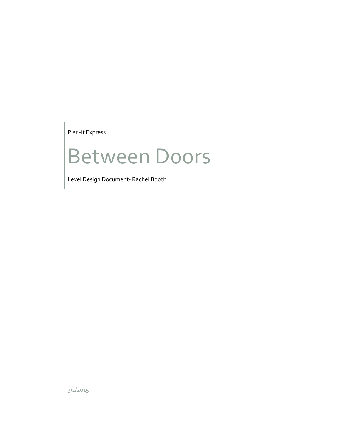Plan-It Express

# Between Doors

Level Design Document- Rachel Booth

3/1/2015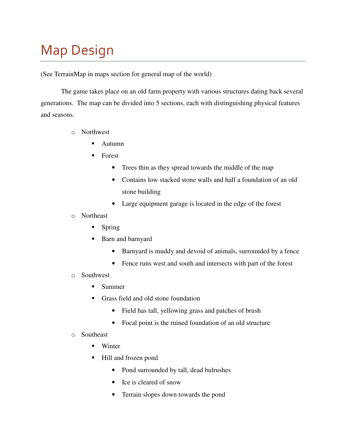## Map Design

(See TerrainMap in maps section for general map of the world)

The game takes place on an old farm property with various structures dating back several generations. The map can be divided into 5 sections, each with distinguishing physical features and seasons.

- o Northwest
	- Autumn
	- **Forest** 
		- Trees thin as they spread towards the middle of the map
		- Contains low stacked stone walls and half a foundation of an old stone building
		- Large equipment garage is located in the edge of the forest
- o Northeast
	- Spring
	- Barn and barnyard
		- Barnyard is muddy and devoid of animals, surrounded by a fence
		- Fence runs west and south and intersects with part of the forest
- o Southwest
	- Summer
	- Grass field and old stone foundation
		- Field has tall, yellowing grass and patches of brush
		- Focal point is the ruined foundation of an old structure
- o Southeast
	- Winter
	- Hill and frozen pond
		- Pond surrounded by tall, dead bulrushes
		- Ice is cleared of snow
		- Terrain slopes down towards the pond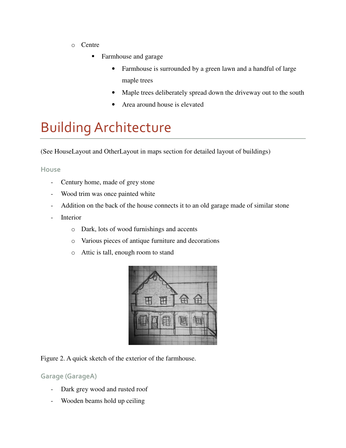- o Centre
	- Farmhouse and garage
		- Farmhouse is surrounded by a green lawn and a handful of large maple trees
		- Maple trees deliberately spread down the driveway out to the south
		- Area around house is elevated

## Building Architecture

(See HouseLayout and OtherLayout in maps section for detailed layout of buildings)

#### House

- Century home, made of grey stone
- Wood trim was once painted white
- Addition on the back of the house connects it to an old garage made of similar stone
- Interior
	- o Dark, lots of wood furnishings and accents
	- o Various pieces of antique furniture and decorations
	- o Attic is tall, enough room to stand



Figure 2. A quick sketch of the exterior of the farmhouse.

#### Garage (GarageA)

- Dark grey wood and rusted roof
- Wooden beams hold up ceiling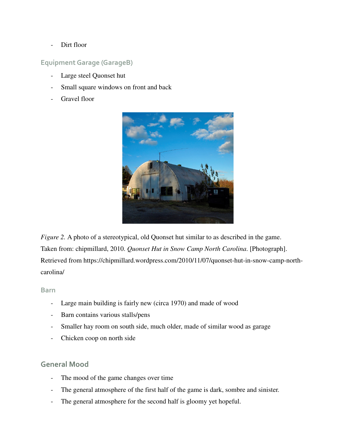- Dirt floor

#### Equipment Garage (GarageB)

- Large steel Quonset hut
- Small square windows on front and back
- Gravel floor



*Figure 2.* A photo of a stereotypical, old Quonset hut similar to as described in the game. Taken from: chipmillard, 2010. *Quonset Hut in Snow Camp North Carolina*. [Photograph]. Retrieved from https://chipmillard.wordpress.com/2010/11/07/quonset-hut-in-snow-camp-northcarolina/

#### Barn

- Large main building is fairly new (circa 1970) and made of wood
- Barn contains various stalls/pens
- Smaller hay room on south side, much older, made of similar wood as garage
- Chicken coop on north side

#### General Mood

- The mood of the game changes over time
- The general atmosphere of the first half of the game is dark, sombre and sinister.
- The general atmosphere for the second half is gloomy yet hopeful.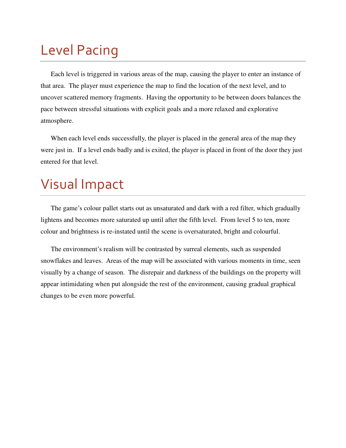## Level Pacing

Each level is triggered in various areas of the map, causing the player to enter an instance of that area. The player must experience the map to find the location of the next level, and to uncover scattered memory fragments. Having the opportunity to be between doors balances the pace between stressful situations with explicit goals and a more relaxed and explorative atmosphere.

When each level ends successfully, the player is placed in the general area of the map they were just in. If a level ends badly and is exited, the player is placed in front of the door they just entered for that level.

### Visual Impact

The game's colour pallet starts out as unsaturated and dark with a red filter, which gradually lightens and becomes more saturated up until after the fifth level. From level 5 to ten, more colour and brightness is re-instated until the scene is oversaturated, bright and colourful.

The environment's realism will be contrasted by surreal elements, such as suspended snowflakes and leaves. Areas of the map will be associated with various moments in time, seen visually by a change of season. The disrepair and darkness of the buildings on the property will appear intimidating when put alongside the rest of the environment, causing gradual graphical changes to be even more powerful.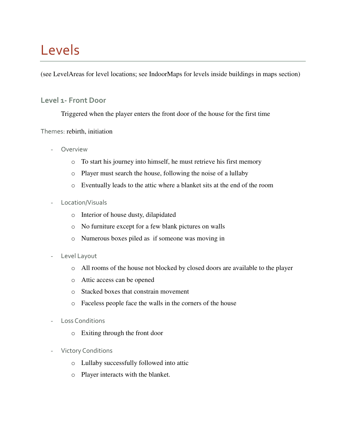## Levels

(see LevelAreas for level locations; see IndoorMaps for levels inside buildings in maps section)

#### Level 1- Front Door

Triggered when the player enters the front door of the house for the first time

#### Themes: rebirth, initiation

- **Overview** 
	- o To start his journey into himself, he must retrieve his first memory
	- o Player must search the house, following the noise of a lullaby
	- o Eventually leads to the attic where a blanket sits at the end of the room
- Location/Visuals
	- o Interior of house dusty, dilapidated
	- o No furniture except for a few blank pictures on walls
	- o Numerous boxes piled as if someone was moving in
- Level Layout
	- o All rooms of the house not blocked by closed doors are available to the player
	- o Attic access can be opened
	- o Stacked boxes that constrain movement
	- o Faceless people face the walls in the corners of the house
- Loss Conditions
	- o Exiting through the front door
- Victory Conditions
	- o Lullaby successfully followed into attic
	- o Player interacts with the blanket.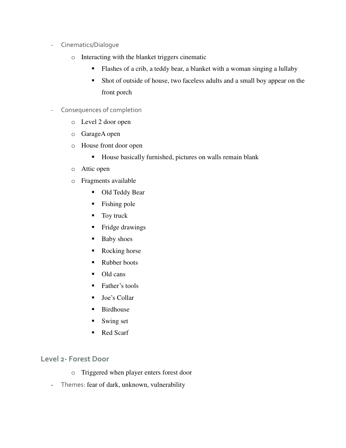- Cinematics/Dialogue
	- o Interacting with the blanket triggers cinematic
		- Flashes of a crib, a teddy bear, a blanket with a woman singing a lullaby
		- Shot of outside of house, two faceless adults and a small boy appear on the front porch
- Consequences of completion
	- o Level 2 door open
	- o GarageA open
	- o House front door open
		- House basically furnished, pictures on walls remain blank
	- o Attic open
	- o Fragments available
		- Old Teddy Bear
		- Fishing pole
		- Toy truck
		- $\blacksquare$  Fridge drawings
		- **Baby shoes**
		- Rocking horse
		- Rubber boots
		- Old cans
		- **Father's tools**
		- **Joe's Collar**
		- **Birdhouse**
		- **Swing set**
		- Red Scarf

#### Level 2- Forest Door

- o Triggered when player enters forest door
- Themes: fear of dark, unknown, vulnerability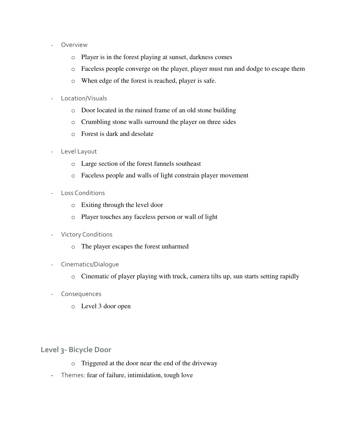- Overview
	- o Player is in the forest playing at sunset, darkness comes
	- o Faceless people converge on the player, player must run and dodge to escape them
	- o When edge of the forest is reached, player is safe.
- Location/Visuals
	- o Door located in the ruined frame of an old stone building
	- o Crumbling stone walls surround the player on three sides
	- o Forest is dark and desolate
- Level Layout
	- o Large section of the forest funnels southeast
	- o Faceless people and walls of light constrain player movement
- Loss Conditions
	- o Exiting through the level door
	- o Player touches any faceless person or wall of light
- Victory Conditions
	- o The player escapes the forest unharmed
- Cinematics/Dialogue
	- o Cinematic of player playing with truck, camera tilts up, sun starts setting rapidly
- Consequences
	- o Level 3 door open

#### Level 3- Bicycle Door

- o Triggered at the door near the end of the driveway
- Themes: fear of failure, intimidation, tough love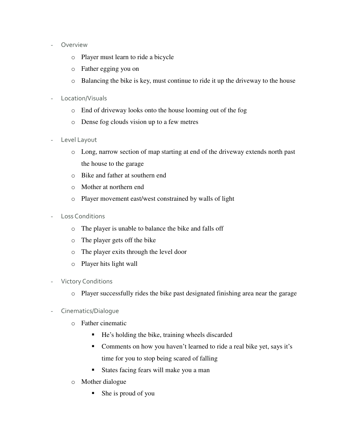#### **Overview**

- o Player must learn to ride a bicycle
- o Father egging you on
- o Balancing the bike is key, must continue to ride it up the driveway to the house
- Location/Visuals
	- o End of driveway looks onto the house looming out of the fog
	- o Dense fog clouds vision up to a few metres
- Level Layout
	- o Long, narrow section of map starting at end of the driveway extends north past the house to the garage
	- o Bike and father at southern end
	- o Mother at northern end
	- o Player movement east/west constrained by walls of light
- Loss Conditions
	- o The player is unable to balance the bike and falls off
	- o The player gets off the bike
	- o The player exits through the level door
	- o Player hits light wall
- Victory Conditions
	- o Player successfully rides the bike past designated finishing area near the garage
- Cinematics/Dialogue
	- o Father cinematic
		- He's holding the bike, training wheels discarded
		- Comments on how you haven't learned to ride a real bike yet, says it's time for you to stop being scared of falling
		- States facing fears will make you a man
	- o Mother dialogue
		- She is proud of you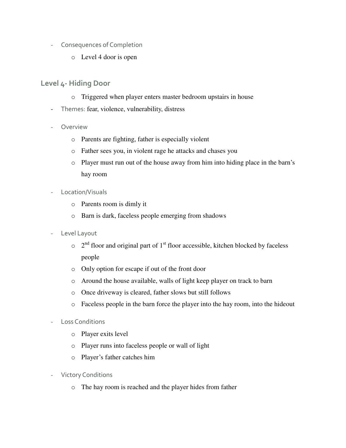- Consequences of Completion
	- o Level 4 door is open

#### Level 4- Hiding Door

- o Triggered when player enters master bedroom upstairs in house
- Themes: fear, violence, vulnerability, distress
- Overview
	- o Parents are fighting, father is especially violent
	- o Father sees you, in violent rage he attacks and chases you
	- o Player must run out of the house away from him into hiding place in the barn's hay room
- Location/Visuals
	- o Parents room is dimly it
	- o Barn is dark, faceless people emerging from shadows
- Level Layout
	- $\circ$  2<sup>nd</sup> floor and original part of 1<sup>st</sup> floor accessible, kitchen blocked by faceless people
	- o Only option for escape if out of the front door
	- o Around the house available, walls of light keep player on track to barn
	- o Once driveway is cleared, father slows but still follows
	- o Faceless people in the barn force the player into the hay room, into the hideout
- Loss Conditions
	- o Player exits level
	- o Player runs into faceless people or wall of light
	- o Player's father catches him
- Victory Conditions
	- o The hay room is reached and the player hides from father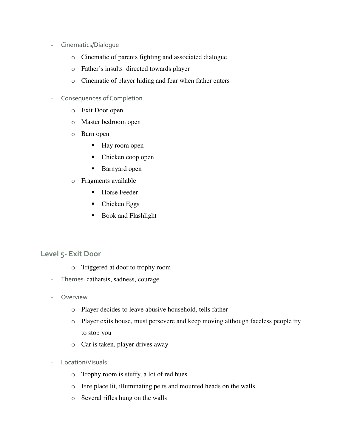- Cinematics/Dialogue
	- o Cinematic of parents fighting and associated dialogue
	- o Father's insults directed towards player
	- o Cinematic of player hiding and fear when father enters
- Consequences of Completion
	- o Exit Door open
	- o Master bedroom open
	- o Barn open
		- Hay room open
		- Chicken coop open
		- Barnyard open
	- o Fragments available
		- Horse Feeder
		- Chicken Eggs
		- Book and Flashlight

#### Level 5- Exit Door

- o Triggered at door to trophy room
- Themes: catharsis, sadness, courage
- **Overview** 
	- o Player decides to leave abusive household, tells father
	- o Player exits house, must persevere and keep moving although faceless people try to stop you
	- o Car is taken, player drives away
- Location/Visuals
	- o Trophy room is stuffy, a lot of red hues
	- o Fire place lit, illuminating pelts and mounted heads on the walls
	- o Several rifles hung on the walls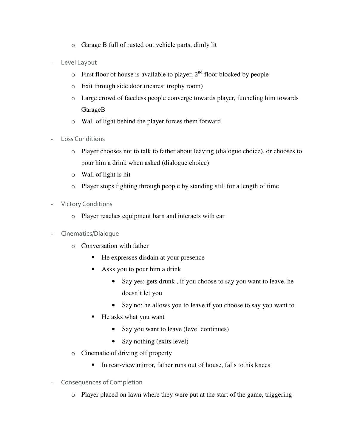- o Garage B full of rusted out vehicle parts, dimly lit
- Level Layout
	- $\circ$  First floor of house is available to player,  $2<sup>nd</sup>$  floor blocked by people
	- o Exit through side door (nearest trophy room)
	- o Large crowd of faceless people converge towards player, funneling him towards GarageB
	- o Wall of light behind the player forces them forward
- Loss Conditions
	- o Player chooses not to talk to father about leaving (dialogue choice), or chooses to pour him a drink when asked (dialogue choice)
	- o Wall of light is hit
	- o Player stops fighting through people by standing still for a length of time
- Victory Conditions
	- o Player reaches equipment barn and interacts with car
- Cinematics/Dialogue
	- o Conversation with father
		- He expresses disdain at your presence
		- Asks you to pour him a drink
			- Say yes: gets drunk, if you choose to say you want to leave, he doesn't let you
			- Say no: he allows you to leave if you choose to say you want to
		- He asks what you want
			- Say you want to leave (level continues)
			- Say nothing (exits level)
	- o Cinematic of driving off property
		- In rear-view mirror, father runs out of house, falls to his knees
- Consequences of Completion
	- o Player placed on lawn where they were put at the start of the game, triggering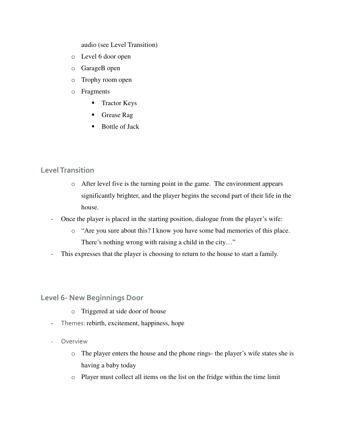audio (see Level Transition)

- o Level 6 door open
- o GarageB open
- o Trophy room open
- o Fragments
	- **Tractor Keys**
	- Grease Rag
	- **Bottle of Jack**

#### Level Transition

- o After level five is the turning point in the game. The environment appears significantly brighter, and the player begins the second part of their life in the house.
- Once the player is placed in the starting position, dialogue from the player's wife:
	- o "Are you sure about this? I know you have some bad memories of this place. There's nothing wrong with raising a child in the city…"
- This expresses that the player is choosing to return to the house to start a family.

Level 6- New Beginnings Door

- o Triggered at side door of house
- Themes: rebirth, excitement, happiness, hope
- Overview
	- o The player enters the house and the phone rings- the player's wife states she is having a baby today
	- o Player must collect all items on the list on the fridge within the time limit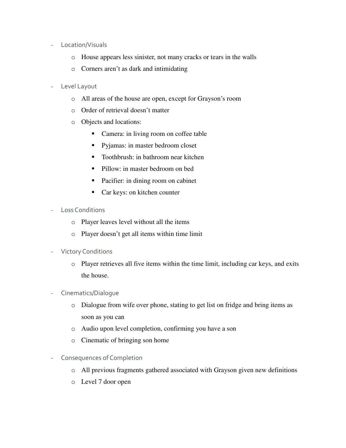- Location/Visuals
	- o House appears less sinister, not many cracks or tears in the walls
	- o Corners aren't as dark and intimidating
- Level Layout
	- o All areas of the house are open, except for Grayson's room
	- o Order of retrieval doesn't matter
	- o Objects and locations:
		- Camera: in living room on coffee table
		- **Pyjamas: in master bedroom closet**
		- Toothbrush: in bathroom near kitchen
		- Pillow: in master bedroom on bed
		- Pacifier: in dining room on cabinet
		- Car keys: on kitchen counter
- Loss Conditions
	- o Player leaves level without all the items
	- o Player doesn't get all items within time limit
- Victory Conditions
	- o Player retrieves all five items within the time limit, including car keys, and exits the house.
- Cinematics/Dialogue
	- o Dialogue from wife over phone, stating to get list on fridge and bring items as soon as you can
	- o Audio upon level completion, confirming you have a son
	- o Cinematic of bringing son home
- Consequences of Completion
	- o All previous fragments gathered associated with Grayson given new definitions
	- o Level 7 door open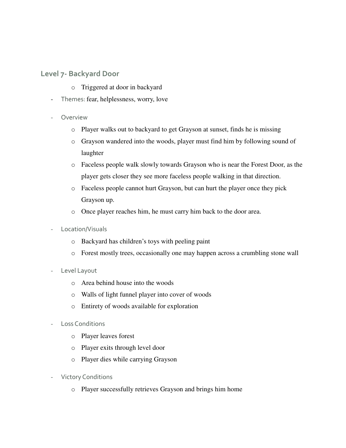#### Level 7- Backyard Door

- o Triggered at door in backyard
- Themes: fear, helplessness, worry, love
- **Overview** 
	- o Player walks out to backyard to get Grayson at sunset, finds he is missing
	- o Grayson wandered into the woods, player must find him by following sound of laughter
	- o Faceless people walk slowly towards Grayson who is near the Forest Door, as the player gets closer they see more faceless people walking in that direction.
	- o Faceless people cannot hurt Grayson, but can hurt the player once they pick Grayson up.
	- o Once player reaches him, he must carry him back to the door area.
- Location/Visuals
	- o Backyard has children's toys with peeling paint
	- o Forest mostly trees, occasionally one may happen across a crumbling stone wall
- Level Layout
	- o Area behind house into the woods
	- o Walls of light funnel player into cover of woods
	- o Entirety of woods available for exploration
- Loss Conditions
	- o Player leaves forest
	- o Player exits through level door
	- o Player dies while carrying Grayson
- Victory Conditions
	- o Player successfully retrieves Grayson and brings him home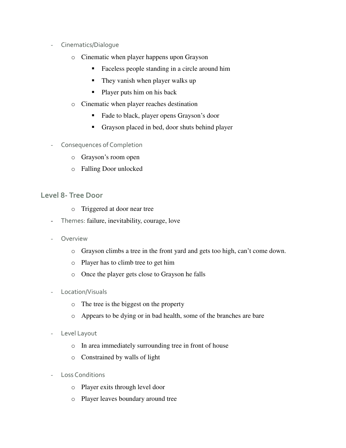- Cinematics/Dialogue
	- o Cinematic when player happens upon Grayson
		- Faceless people standing in a circle around him
		- They vanish when player walks up
		- Player puts him on his back
	- o Cinematic when player reaches destination
		- Fade to black, player opens Grayson's door
		- Grayson placed in bed, door shuts behind player
- Consequences of Completion
	- o Grayson's room open
	- o Falling Door unlocked

#### Level 8- Tree Door

- o Triggered at door near tree
- Themes: failure, inevitability, courage, love
- Overview
	- o Grayson climbs a tree in the front yard and gets too high, can't come down.
	- o Player has to climb tree to get him
	- o Once the player gets close to Grayson he falls
- Location/Visuals
	- o The tree is the biggest on the property
	- o Appears to be dying or in bad health, some of the branches are bare
- Level Layout
	- o In area immediately surrounding tree in front of house
	- o Constrained by walls of light
- Loss Conditions
	- o Player exits through level door
	- o Player leaves boundary around tree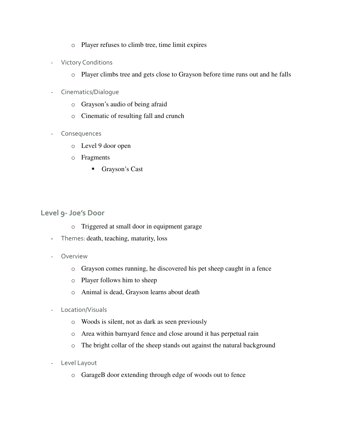- o Player refuses to climb tree, time limit expires
- Victory Conditions
	- o Player climbs tree and gets close to Grayson before time runs out and he falls
- Cinematics/Dialogue
	- o Grayson's audio of being afraid
	- o Cinematic of resulting fall and crunch
- Consequences
	- o Level 9 door open
	- o Fragments
		- Grayson's Cast

#### Level 9- Joe's Door

- o Triggered at small door in equipment garage
- Themes: death, teaching, maturity, loss
- Overview
	- o Grayson comes running, he discovered his pet sheep caught in a fence
	- o Player follows him to sheep
	- o Animal is dead, Grayson learns about death
- Location/Visuals
	- o Woods is silent, not as dark as seen previously
	- o Area within barnyard fence and close around it has perpetual rain
	- o The bright collar of the sheep stands out against the natural background
- Level Layout
	- o GarageB door extending through edge of woods out to fence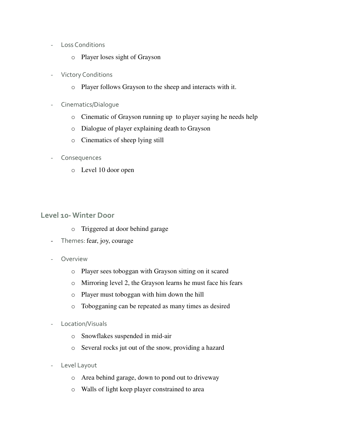- Loss Conditions
	- o Player loses sight of Grayson
- Victory Conditions
	- o Player follows Grayson to the sheep and interacts with it.
- Cinematics/Dialogue
	- o Cinematic of Grayson running up to player saying he needs help
	- o Dialogue of player explaining death to Grayson
	- o Cinematics of sheep lying still
- Consequences
	- o Level 10 door open

#### Level 10- Winter Door

- o Triggered at door behind garage
- Themes: fear, joy, courage
- **Overview** 
	- o Player sees toboggan with Grayson sitting on it scared
	- o Mirroring level 2, the Grayson learns he must face his fears
	- o Player must toboggan with him down the hill
	- o Tobogganing can be repeated as many times as desired
- Location/Visuals
	- o Snowflakes suspended in mid-air
	- o Several rocks jut out of the snow, providing a hazard
- Level Layout
	- o Area behind garage, down to pond out to driveway
	- o Walls of light keep player constrained to area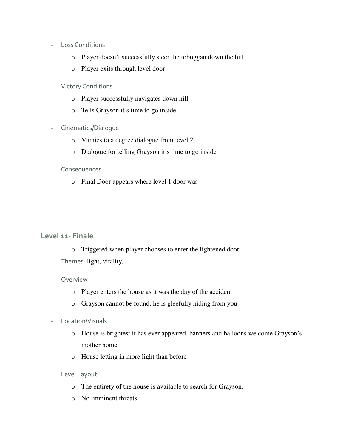- Loss Conditions
	- o Player doesn't successfully steer the toboggan down the hill
	- o Player exits through level door
- Victory Conditions
	- o Player successfully navigates down hill
	- o Tells Grayson it's time to go inside
- Cinematics/Dialogue
	- o Mimics to a degree dialogue from level 2
	- o Dialogue for telling Grayson it's time to go inside
- Consequences
	- o Final Door appears where level 1 door was

#### Level 11- Finale

- o Triggered when player chooses to enter the lightened door
- Themes: light, vitality,
- **Overview** 
	- o Player enters the house as it was the day of the accident
	- o Grayson cannot be found, he is gleefully hiding from you
- Location/Visuals
	- o House is brightest it has ever appeared, banners and balloons welcome Grayson's mother home
	- o House letting in more light than before
- Level Layout
	- o The entirety of the house is available to search for Grayson.
	- o No imminent threats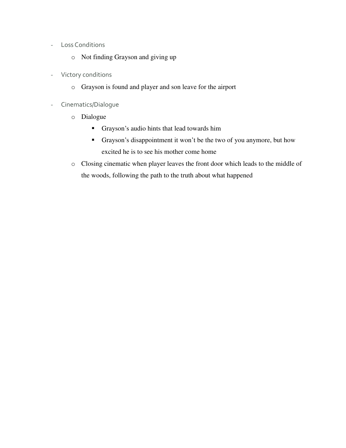- Loss Conditions
	- o Not finding Grayson and giving up
- Victory conditions
	- o Grayson is found and player and son leave for the airport
- Cinematics/Dialogue
	- o Dialogue
		- Grayson's audio hints that lead towards him
		- Grayson's disappointment it won't be the two of you anymore, but how excited he is to see his mother come home
	- o Closing cinematic when player leaves the front door which leads to the middle of the woods, following the path to the truth about what happened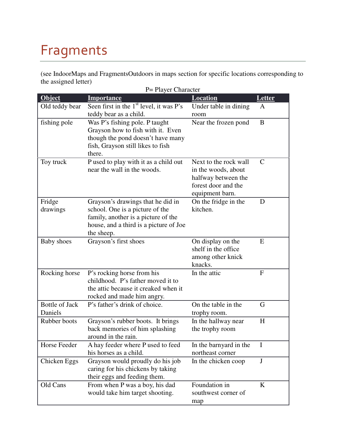## Fragments

(see IndoorMaps and FragmentsOutdoors in maps section for specific locations corresponding to the assigned letter)

|                                  | P = Player Character                                                                                                                                                |                                                                                                               |               |  |
|----------------------------------|---------------------------------------------------------------------------------------------------------------------------------------------------------------------|---------------------------------------------------------------------------------------------------------------|---------------|--|
| <b>Object</b>                    | <b>Importance</b>                                                                                                                                                   | <b>Location</b>                                                                                               | Letter        |  |
| Old teddy bear                   | Seen first in the $1st$ level, it was P's<br>teddy bear as a child.                                                                                                 | Under table in dining<br>room                                                                                 | A             |  |
| fishing pole                     | Was P's fishing pole. P taught<br>Grayson how to fish with it. Even<br>though the pond doesn't have many<br>fish, Grayson still likes to fish<br>there.             | Near the frozen pond                                                                                          | B             |  |
| Toy truck                        | P used to play with it as a child out<br>near the wall in the woods.                                                                                                | Next to the rock wall<br>in the woods, about<br>halfway between the<br>forest door and the<br>equipment barn. | $\mathcal{C}$ |  |
| Fridge<br>drawings               | Grayson's drawings that he did in<br>school. One is a picture of the<br>family, another is a picture of the<br>house, and a third is a picture of Joe<br>the sheep. | On the fridge in the<br>kitchen.                                                                              | D             |  |
| <b>Baby</b> shoes                | Grayson's first shoes                                                                                                                                               | On display on the<br>shelf in the office<br>among other knick<br>knacks.                                      | E             |  |
| Rocking horse                    | P's rocking horse from his<br>childhood. P's father moved it to<br>the attic because it creaked when it<br>rocked and made him angry.                               | In the attic                                                                                                  | $\mathbf{F}$  |  |
| <b>Bottle of Jack</b><br>Daniels | P's father's drink of choice.                                                                                                                                       | On the table in the<br>trophy room.                                                                           | G             |  |
| Rubber boots                     | Grayson's rubber boots. It brings<br>back memories of him splashing<br>around in the rain.                                                                          | In the hallway near<br>the trophy room                                                                        | H             |  |
| Horse Feeder                     | A hay feeder where P used to feed<br>his horses as a child.                                                                                                         | In the barnyard in the<br>northeast corner                                                                    | I             |  |
| Chicken Eggs                     | Grayson would proudly do his job<br>caring for his chickens by taking<br>their eggs and feeding them.                                                               | In the chicken coop                                                                                           | $\bf J$       |  |
| Old Cans                         | From when P was a boy, his dad<br>would take him target shooting.                                                                                                   | Foundation in<br>southwest corner of<br>map                                                                   | $\bf K$       |  |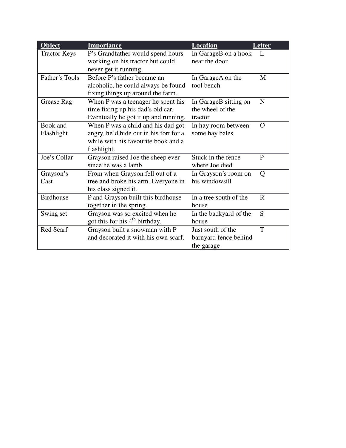| Object              | <b>Importance</b>                                                        | <b>Location</b>                       | Letter       |
|---------------------|--------------------------------------------------------------------------|---------------------------------------|--------------|
| <b>Tractor Keys</b> | P's Grandfather would spend hours<br>working on his tractor but could    | In GarageB on a hook<br>near the door | $\mathbf{L}$ |
|                     | never get it running.                                                    |                                       |              |
| Father's Tools      | Before P's father became an                                              | In GarageA on the                     | M            |
|                     | alcoholic, he could always be found<br>fixing things up around the farm. | tool bench                            |              |
| Grease Rag          | When P was a teenager he spent his                                       | In GarageB sitting on                 | N            |
|                     | time fixing up his dad's old car.                                        | the wheel of the                      |              |
|                     |                                                                          | tractor                               |              |
|                     | Eventually he got it up and running.                                     |                                       |              |
| Book and            | When P was a child and his dad got                                       | In hay room between                   | O            |
| Flashlight          | angry, he'd hide out in his fort for a                                   | some hay bales                        |              |
|                     | while with his favourite book and a                                      |                                       |              |
|                     | flashlight.                                                              |                                       |              |
| Joe's Collar        | Grayson raised Joe the sheep ever                                        | Stuck in the fence                    | P            |
|                     | since he was a lamb.                                                     | where Joe died                        |              |
| Grayson's           | From when Grayson fell out of a                                          | In Grayson's room on                  | Q            |
| Cast                | tree and broke his arm. Everyone in                                      | his windowsill                        |              |
|                     | his class signed it.                                                     |                                       |              |
| <b>Birdhouse</b>    | P and Grayson built this birdhouse                                       | In a tree south of the                | $\mathbf{R}$ |
|                     | together in the spring.                                                  | house                                 |              |
| Swing set           | Grayson was so excited when he                                           | In the backyard of the                | S            |
|                     | got this for his 4 <sup>th</sup> birthday.                               | house                                 |              |
| Red Scarf           | Grayson built a snowman with P                                           | Just south of the                     | T            |
|                     | and decorated it with his own scarf.                                     | barnyard fence behind                 |              |
|                     |                                                                          | the garage                            |              |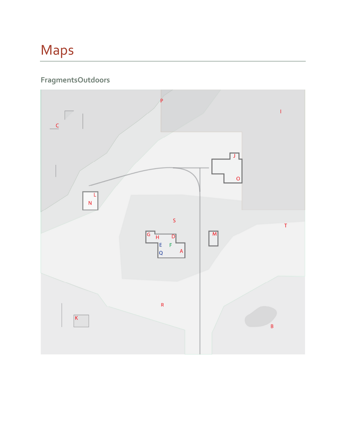## Maps

### FragmentsOutdoors

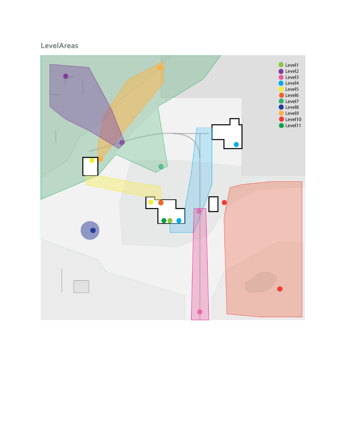### **LevelAreas**

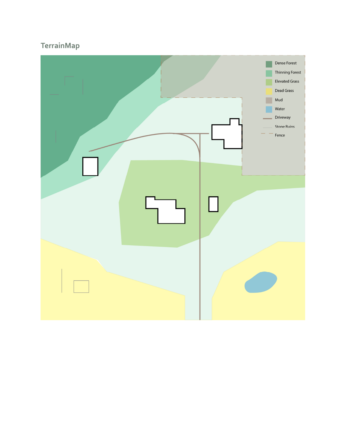### TerrainMap

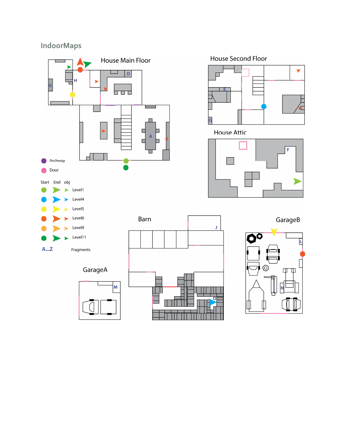### IndoorMaps



 $\mathbf{J}$ 



**House Attic** 





GarageA

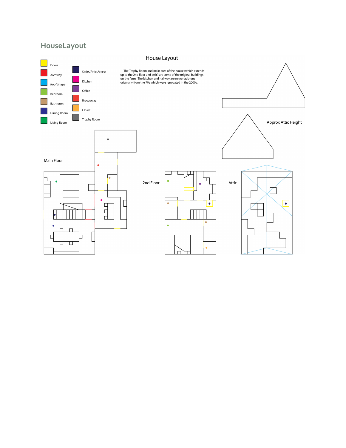### HouseLayout